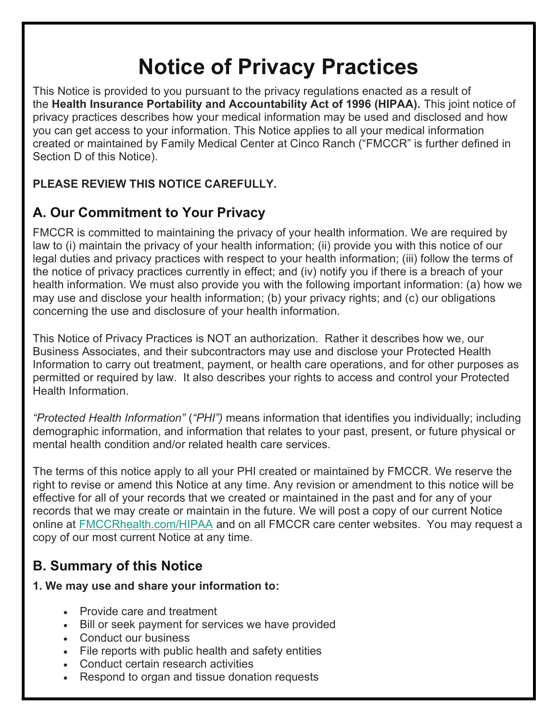# Notice of Privacy Practices

This Notice is provided to you pursuant to the privacy regulations enacted as a result of the Health Insurance Portability and Accountability Act of 1996 (HIPAA). This joint notice of privacy practices describes how your medical information may be used and disclosed and how you can get access to your information. This Notice applies to all your medical information created or maintained by Family Medical Center at Cinco Ranch ("FMCCR" is further defined in Section D of this Notice).

### PLEASE REVIEW THIS NOTICE CAREFULLY.

# A. Our Commitment to Your Privacy

FMCCR is committed to maintaining the privacy of your health information. We are required by law to (i) maintain the privacy of your health information; (ii) provide you with this notice of our legal duties and privacy practices with respect to your health information; (iii) follow the terms of the notice of privacy practices currently in effect; and (iv) notify you if there is a breach of your health information. We must also provide you with the following important information: (a) how we may use and disclose your health information; (b) your privacy rights; and (c) our obligations concerning the use and disclosure of your health information.

This Notice of Privacy Practices is NOT an authorization. Rather it describes how we, our Business Associates, and their subcontractors may use and disclose your Protected Health Information to carry out treatment, payment, or health care operations, and for other purposes as permitted or required by law. It also describes your rights to access and control your Protected Health Information.

"Protected Health Information" ("PHI") means information that identifies you individually; including demographic information, and information that relates to your past, present, or future physical or mental health condition and/or related health care services.

The terms of this notice apply to all your PHI created or maintained by FMCCR. We reserve the right to revise or amend this Notice at any time. Any revision or amendment to this notice will be effective for all of your records that we created or maintained in the past and for any of your records that we may create or maintain in the future. We will post a copy of our current Notice online at FMCCRhealth.com/HIPAA and on all FMCCR care center websites. You may request a copy of our most current Notice at any time.

# B. Summary of this Notice

#### 1. We may use and share your information to:

- Provide care and treatment
- Bill or seek payment for services we have provided
- Conduct our business
- File reports with public health and safety entities
- Conduct certain research activities
- Respond to organ and tissue donation requests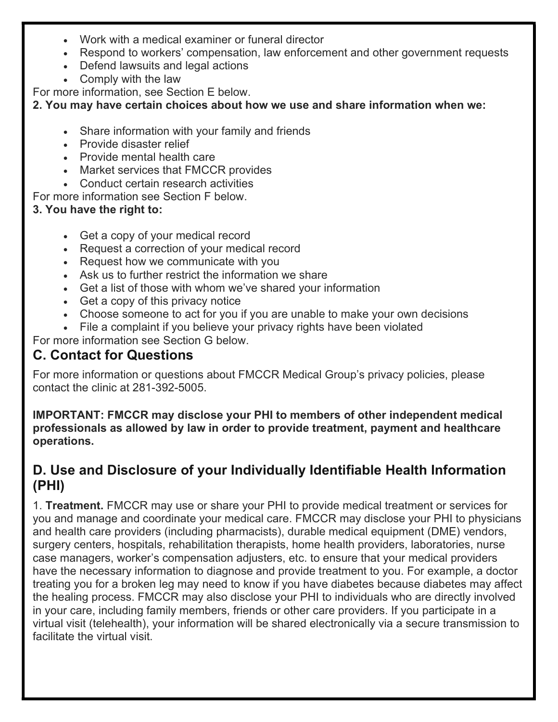- Work with a medical examiner or funeral director
- Respond to workers' compensation, law enforcement and other government requests
- Defend lawsuits and legal actions
- Comply with the law

For more information, see Section E below.

2. You may have certain choices about how we use and share information when we:

- Share information with your family and friends
- Provide disaster relief
- Provide mental health care
- Market services that FMCCR provides
- Conduct certain research activities

For more information see Section F below.

#### 3. You have the right to:

- Get a copy of your medical record
- Request a correction of your medical record
- Request how we communicate with you
- Ask us to further restrict the information we share
- Get a list of those with whom we've shared your information
- Get a copy of this privacy notice
- Choose someone to act for you if you are unable to make your own decisions
- File a complaint if you believe your privacy rights have been violated

For more information see Section G below.

# C. Contact for Questions

For more information or questions about FMCCR Medical Group's privacy policies, please contact the clinic at 281-392-5005.

IMPORTANT: FMCCR may disclose your PHI to members of other independent medical professionals as allowed by law in order to provide treatment, payment and healthcare operations.

### D. Use and Disclosure of your Individually Identifiable Health Information (PHI)

1. Treatment. FMCCR may use or share your PHI to provide medical treatment or services for you and manage and coordinate your medical care. FMCCR may disclose your PHI to physicians and health care providers (including pharmacists), durable medical equipment (DME) vendors, surgery centers, hospitals, rehabilitation therapists, home health providers, laboratories, nurse case managers, worker's compensation adjusters, etc. to ensure that your medical providers have the necessary information to diagnose and provide treatment to you. For example, a doctor treating you for a broken leg may need to know if you have diabetes because diabetes may affect the healing process. FMCCR may also disclose your PHI to individuals who are directly involved in your care, including family members, friends or other care providers. If you participate in a virtual visit (telehealth), your information will be shared electronically via a secure transmission to facilitate the virtual visit.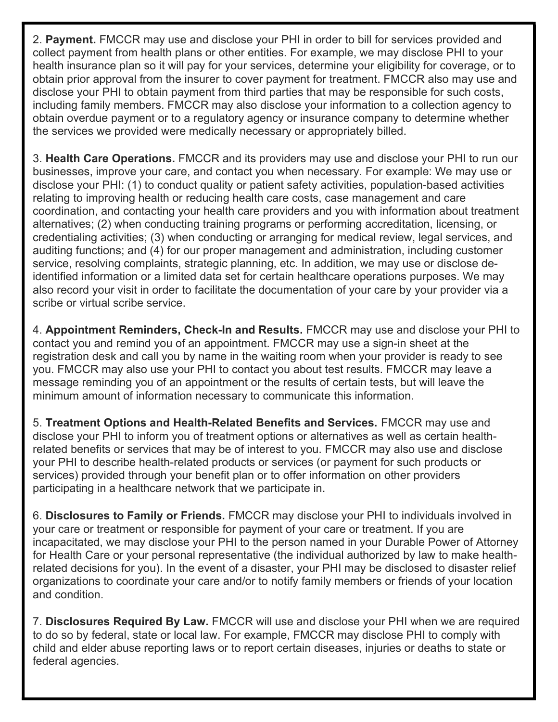2. Payment. FMCCR may use and disclose your PHI in order to bill for services provided and collect payment from health plans or other entities. For example, we may disclose PHI to your health insurance plan so it will pay for your services, determine your eligibility for coverage, or to obtain prior approval from the insurer to cover payment for treatment. FMCCR also may use and disclose your PHI to obtain payment from third parties that may be responsible for such costs, including family members. FMCCR may also disclose your information to a collection agency to obtain overdue payment or to a regulatory agency or insurance company to determine whether the services we provided were medically necessary or appropriately billed.

3. Health Care Operations. FMCCR and its providers may use and disclose your PHI to run our businesses, improve your care, and contact you when necessary. For example: We may use or disclose your PHI: (1) to conduct quality or patient safety activities, population-based activities relating to improving health or reducing health care costs, case management and care coordination, and contacting your health care providers and you with information about treatment alternatives; (2) when conducting training programs or performing accreditation, licensing, or credentialing activities; (3) when conducting or arranging for medical review, legal services, and auditing functions; and (4) for our proper management and administration, including customer service, resolving complaints, strategic planning, etc. In addition, we may use or disclose deidentified information or a limited data set for certain healthcare operations purposes. We may also record your visit in order to facilitate the documentation of your care by your provider via a scribe or virtual scribe service.

4. Appointment Reminders, Check-In and Results. FMCCR may use and disclose your PHI to contact you and remind you of an appointment. FMCCR may use a sign-in sheet at the registration desk and call you by name in the waiting room when your provider is ready to see you. FMCCR may also use your PHI to contact you about test results. FMCCR may leave a message reminding you of an appointment or the results of certain tests, but will leave the minimum amount of information necessary to communicate this information.

5. Treatment Options and Health-Related Benefits and Services. FMCCR may use and disclose your PHI to inform you of treatment options or alternatives as well as certain healthrelated benefits or services that may be of interest to you. FMCCR may also use and disclose your PHI to describe health-related products or services (or payment for such products or services) provided through your benefit plan or to offer information on other providers participating in a healthcare network that we participate in.

6. Disclosures to Family or Friends. FMCCR may disclose your PHI to individuals involved in your care or treatment or responsible for payment of your care or treatment. If you are incapacitated, we may disclose your PHI to the person named in your Durable Power of Attorney for Health Care or your personal representative (the individual authorized by law to make healthrelated decisions for you). In the event of a disaster, your PHI may be disclosed to disaster relief organizations to coordinate your care and/or to notify family members or friends of your location and condition.

7. Disclosures Required By Law. FMCCR will use and disclose your PHI when we are required to do so by federal, state or local law. For example, FMCCR may disclose PHI to comply with child and elder abuse reporting laws or to report certain diseases, injuries or deaths to state or federal agencies.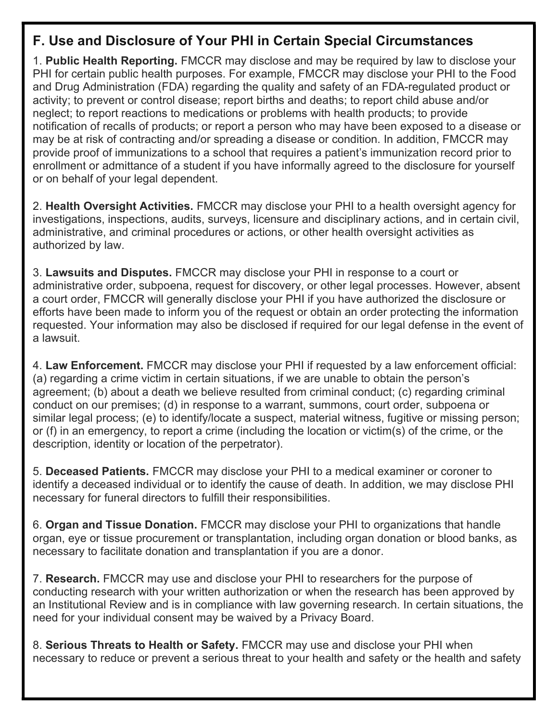### F. Use and Disclosure of Your PHI in Certain Special Circumstances

1. Public Health Reporting. FMCCR may disclose and may be required by law to disclose your PHI for certain public health purposes. For example, FMCCR may disclose your PHI to the Food and Drug Administration (FDA) regarding the quality and safety of an FDA-regulated product or activity; to prevent or control disease; report births and deaths; to report child abuse and/or neglect; to report reactions to medications or problems with health products; to provide notification of recalls of products; or report a person who may have been exposed to a disease or may be at risk of contracting and/or spreading a disease or condition. In addition, FMCCR may provide proof of immunizations to a school that requires a patient's immunization record prior to enrollment or admittance of a student if you have informally agreed to the disclosure for yourself or on behalf of your legal dependent.

2. Health Oversight Activities. FMCCR may disclose your PHI to a health oversight agency for investigations, inspections, audits, surveys, licensure and disciplinary actions, and in certain civil, administrative, and criminal procedures or actions, or other health oversight activities as authorized by law.

3. Lawsuits and Disputes. FMCCR may disclose your PHI in response to a court or administrative order, subpoena, request for discovery, or other legal processes. However, absent a court order, FMCCR will generally disclose your PHI if you have authorized the disclosure or efforts have been made to inform you of the request or obtain an order protecting the information requested. Your information may also be disclosed if required for our legal defense in the event of a lawsuit.

4. Law Enforcement. FMCCR may disclose your PHI if requested by a law enforcement official: (a) regarding a crime victim in certain situations, if we are unable to obtain the person's agreement; (b) about a death we believe resulted from criminal conduct; (c) regarding criminal conduct on our premises; (d) in response to a warrant, summons, court order, subpoena or similar legal process; (e) to identify/locate a suspect, material witness, fugitive or missing person; or (f) in an emergency, to report a crime (including the location or victim(s) of the crime, or the description, identity or location of the perpetrator).

5. Deceased Patients. FMCCR may disclose your PHI to a medical examiner or coroner to identify a deceased individual or to identify the cause of death. In addition, we may disclose PHI necessary for funeral directors to fulfill their responsibilities.

6. Organ and Tissue Donation. FMCCR may disclose your PHI to organizations that handle organ, eye or tissue procurement or transplantation, including organ donation or blood banks, as necessary to facilitate donation and transplantation if you are a donor.

7. Research. FMCCR may use and disclose your PHI to researchers for the purpose of conducting research with your written authorization or when the research has been approved by an Institutional Review and is in compliance with law governing research. In certain situations, the need for your individual consent may be waived by a Privacy Board.

8. Serious Threats to Health or Safety. FMCCR may use and disclose your PHI when necessary to reduce or prevent a serious threat to your health and safety or the health and safety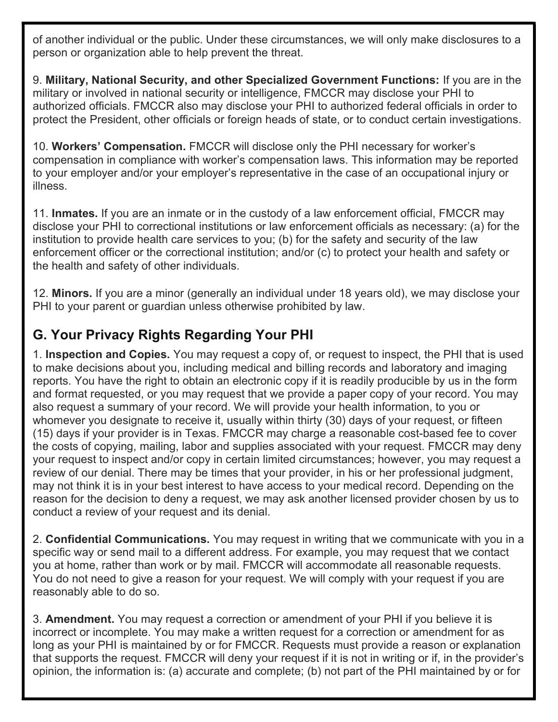of another individual or the public. Under these circumstances, we will only make disclosures to a person or organization able to help prevent the threat.

9. Military, National Security, and other Specialized Government Functions: If you are in the military or involved in national security or intelligence, FMCCR may disclose your PHI to authorized officials. FMCCR also may disclose your PHI to authorized federal officials in order to protect the President, other officials or foreign heads of state, or to conduct certain investigations.

10. Workers' Compensation. FMCCR will disclose only the PHI necessary for worker's compensation in compliance with worker's compensation laws. This information may be reported to your employer and/or your employer's representative in the case of an occupational injury or illness.

11. **Inmates.** If you are an inmate or in the custody of a law enforcement official, FMCCR may disclose your PHI to correctional institutions or law enforcement officials as necessary: (a) for the institution to provide health care services to you; (b) for the safety and security of the law enforcement officer or the correctional institution; and/or (c) to protect your health and safety or the health and safety of other individuals.

12. Minors. If you are a minor (generally an individual under 18 years old), we may disclose your PHI to your parent or guardian unless otherwise prohibited by law.

# G. Your Privacy Rights Regarding Your PHI

1. Inspection and Copies. You may request a copy of, or request to inspect, the PHI that is used to make decisions about you, including medical and billing records and laboratory and imaging reports. You have the right to obtain an electronic copy if it is readily producible by us in the form and format requested, or you may request that we provide a paper copy of your record. You may also request a summary of your record. We will provide your health information, to you or whomever you designate to receive it, usually within thirty (30) days of your request, or fifteen (15) days if your provider is in Texas. FMCCR may charge a reasonable cost-based fee to cover the costs of copying, mailing, labor and supplies associated with your request. FMCCR may deny your request to inspect and/or copy in certain limited circumstances; however, you may request a review of our denial. There may be times that your provider, in his or her professional judgment, may not think it is in your best interest to have access to your medical record. Depending on the reason for the decision to deny a request, we may ask another licensed provider chosen by us to conduct a review of your request and its denial.

2. Confidential Communications. You may request in writing that we communicate with you in a specific way or send mail to a different address. For example, you may request that we contact you at home, rather than work or by mail. FMCCR will accommodate all reasonable requests. You do not need to give a reason for your request. We will comply with your request if you are reasonably able to do so.

3. **Amendment.** You may request a correction or amendment of your PHI if you believe it is incorrect or incomplete. You may make a written request for a correction or amendment for as long as your PHI is maintained by or for FMCCR. Requests must provide a reason or explanation that supports the request. FMCCR will deny your request if it is not in writing or if, in the provider's opinion, the information is: (a) accurate and complete; (b) not part of the PHI maintained by or for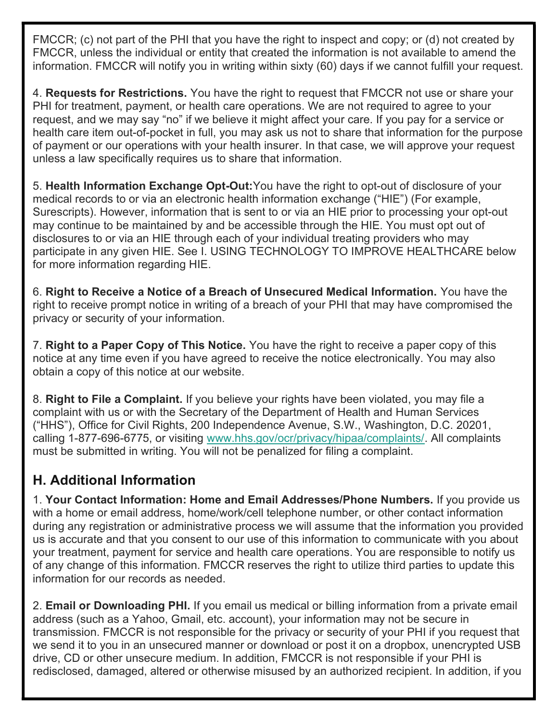FMCCR; (c) not part of the PHI that you have the right to inspect and copy; or (d) not created by FMCCR, unless the individual or entity that created the information is not available to amend the information. FMCCR will notify you in writing within sixty (60) days if we cannot fulfill your request.

4. **Requests for Restrictions.** You have the right to request that FMCCR not use or share your PHI for treatment, payment, or health care operations. We are not required to agree to your request, and we may say "no" if we believe it might affect your care. If you pay for a service or health care item out-of-pocket in full, you may ask us not to share that information for the purpose of payment or our operations with your health insurer. In that case, we will approve your request unless a law specifically requires us to share that information.

5. Health Information Exchange Opt-Out:You have the right to opt-out of disclosure of your medical records to or via an electronic health information exchange ("HIE") (For example, Surescripts). However, information that is sent to or via an HIE prior to processing your opt-out may continue to be maintained by and be accessible through the HIE. You must opt out of disclosures to or via an HIE through each of your individual treating providers who may participate in any given HIE. See I. USING TECHNOLOGY TO IMPROVE HEALTHCARE below for more information regarding HIE.

6. Right to Receive a Notice of a Breach of Unsecured Medical Information. You have the right to receive prompt notice in writing of a breach of your PHI that may have compromised the privacy or security of your information.

7. Right to a Paper Copy of This Notice. You have the right to receive a paper copy of this notice at any time even if you have agreed to receive the notice electronically. You may also obtain a copy of this notice at our website.

8. Right to File a Complaint. If you believe your rights have been violated, you may file a complaint with us or with the Secretary of the Department of Health and Human Services ("HHS"), Office for Civil Rights, 200 Independence Avenue, S.W., Washington, D.C. 20201, calling 1-877-696-6775, or visiting www.hhs.gov/ocr/privacy/hipaa/complaints/. All complaints must be submitted in writing. You will not be penalized for filing a complaint.

# H. Additional Information

1. Your Contact Information: Home and Email Addresses/Phone Numbers. If you provide us with a home or email address, home/work/cell telephone number, or other contact information during any registration or administrative process we will assume that the information you provided us is accurate and that you consent to our use of this information to communicate with you about your treatment, payment for service and health care operations. You are responsible to notify us of any change of this information. FMCCR reserves the right to utilize third parties to update this information for our records as needed.

2. Email or Downloading PHI. If you email us medical or billing information from a private email address (such as a Yahoo, Gmail, etc. account), your information may not be secure in transmission. FMCCR is not responsible for the privacy or security of your PHI if you request that we send it to you in an unsecured manner or download or post it on a dropbox, unencrypted USB drive, CD or other unsecure medium. In addition, FMCCR is not responsible if your PHI is redisclosed, damaged, altered or otherwise misused by an authorized recipient. In addition, if you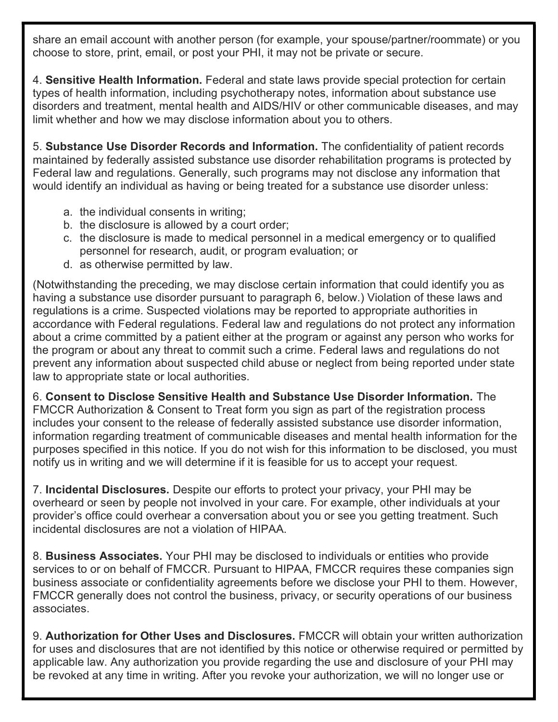share an email account with another person (for example, your spouse/partner/roommate) or you choose to store, print, email, or post your PHI, it may not be private or secure.

4. Sensitive Health Information. Federal and state laws provide special protection for certain types of health information, including psychotherapy notes, information about substance use disorders and treatment, mental health and AIDS/HIV or other communicable diseases, and may limit whether and how we may disclose information about you to others.

5. Substance Use Disorder Records and Information. The confidentiality of patient records maintained by federally assisted substance use disorder rehabilitation programs is protected by Federal law and regulations. Generally, such programs may not disclose any information that would identify an individual as having or being treated for a substance use disorder unless:

- a. the individual consents in writing;
- b. the disclosure is allowed by a court order;
- c. the disclosure is made to medical personnel in a medical emergency or to qualified personnel for research, audit, or program evaluation; or
- d. as otherwise permitted by law.

(Notwithstanding the preceding, we may disclose certain information that could identify you as having a substance use disorder pursuant to paragraph 6, below.) Violation of these laws and regulations is a crime. Suspected violations may be reported to appropriate authorities in accordance with Federal regulations. Federal law and regulations do not protect any information about a crime committed by a patient either at the program or against any person who works for the program or about any threat to commit such a crime. Federal laws and regulations do not prevent any information about suspected child abuse or neglect from being reported under state law to appropriate state or local authorities.

6. Consent to Disclose Sensitive Health and Substance Use Disorder Information. The FMCCR Authorization & Consent to Treat form you sign as part of the registration process includes your consent to the release of federally assisted substance use disorder information, information regarding treatment of communicable diseases and mental health information for the purposes specified in this notice. If you do not wish for this information to be disclosed, you must notify us in writing and we will determine if it is feasible for us to accept your request.

7. Incidental Disclosures. Despite our efforts to protect your privacy, your PHI may be overheard or seen by people not involved in your care. For example, other individuals at your provider's office could overhear a conversation about you or see you getting treatment. Such incidental disclosures are not a violation of HIPAA.

8. Business Associates. Your PHI may be disclosed to individuals or entities who provide services to or on behalf of FMCCR. Pursuant to HIPAA, FMCCR requires these companies sign business associate or confidentiality agreements before we disclose your PHI to them. However, FMCCR generally does not control the business, privacy, or security operations of our business associates.

9. Authorization for Other Uses and Disclosures. FMCCR will obtain your written authorization for uses and disclosures that are not identified by this notice or otherwise required or permitted by applicable law. Any authorization you provide regarding the use and disclosure of your PHI may be revoked at any time in writing. After you revoke your authorization, we will no longer use or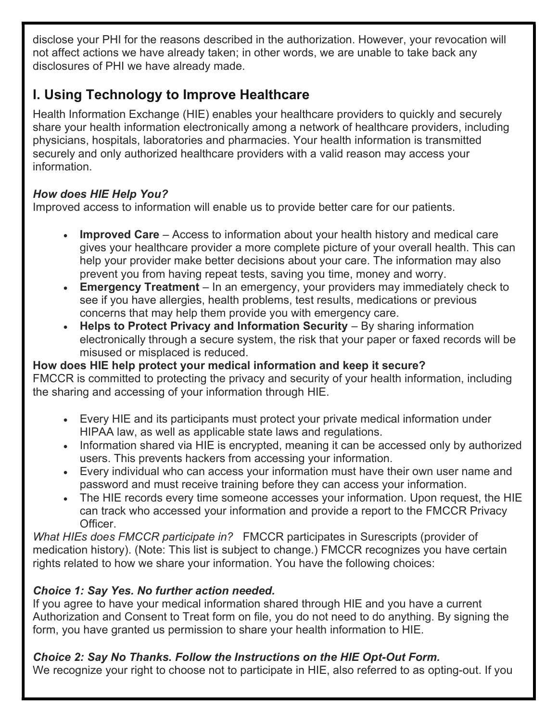disclose your PHI for the reasons described in the authorization. However, your revocation will not affect actions we have already taken; in other words, we are unable to take back any disclosures of PHI we have already made.

# I. Using Technology to Improve Healthcare

Health Information Exchange (HIE) enables your healthcare providers to quickly and securely share your health information electronically among a network of healthcare providers, including physicians, hospitals, laboratories and pharmacies. Your health information is transmitted securely and only authorized healthcare providers with a valid reason may access your information.

#### How does HIE Help You?

Improved access to information will enable us to provide better care for our patients.

- Improved Care Access to information about your health history and medical care gives your healthcare provider a more complete picture of your overall health. This can help your provider make better decisions about your care. The information may also prevent you from having repeat tests, saving you time, money and worry.
- Emergency Treatment In an emergency, your providers may immediately check to see if you have allergies, health problems, test results, medications or previous concerns that may help them provide you with emergency care.
- Helps to Protect Privacy and Information Security By sharing information electronically through a secure system, the risk that your paper or faxed records will be misused or misplaced is reduced.

#### How does HIE help protect your medical information and keep it secure?

FMCCR is committed to protecting the privacy and security of your health information, including the sharing and accessing of your information through HIE.

- Every HIE and its participants must protect your private medical information under HIPAA law, as well as applicable state laws and regulations.
- Information shared via HIE is encrypted, meaning it can be accessed only by authorized users. This prevents hackers from accessing your information.
- Every individual who can access your information must have their own user name and password and must receive training before they can access your information.
- The HIE records every time someone accesses your information. Upon request, the HIE can track who accessed your information and provide a report to the FMCCR Privacy Officer.

What HIEs does FMCCR participate in? FMCCR participates in Surescripts (provider of medication history). (Note: This list is subject to change.) FMCCR recognizes you have certain rights related to how we share your information. You have the following choices:

### Choice 1: Say Yes. No further action needed.

If you agree to have your medical information shared through HIE and you have a current Authorization and Consent to Treat form on file, you do not need to do anything. By signing the form, you have granted us permission to share your health information to HIE.

### Choice 2: Say No Thanks. Follow the Instructions on the HIE Opt-Out Form.

We recognize your right to choose not to participate in HIE, also referred to as opting-out. If you